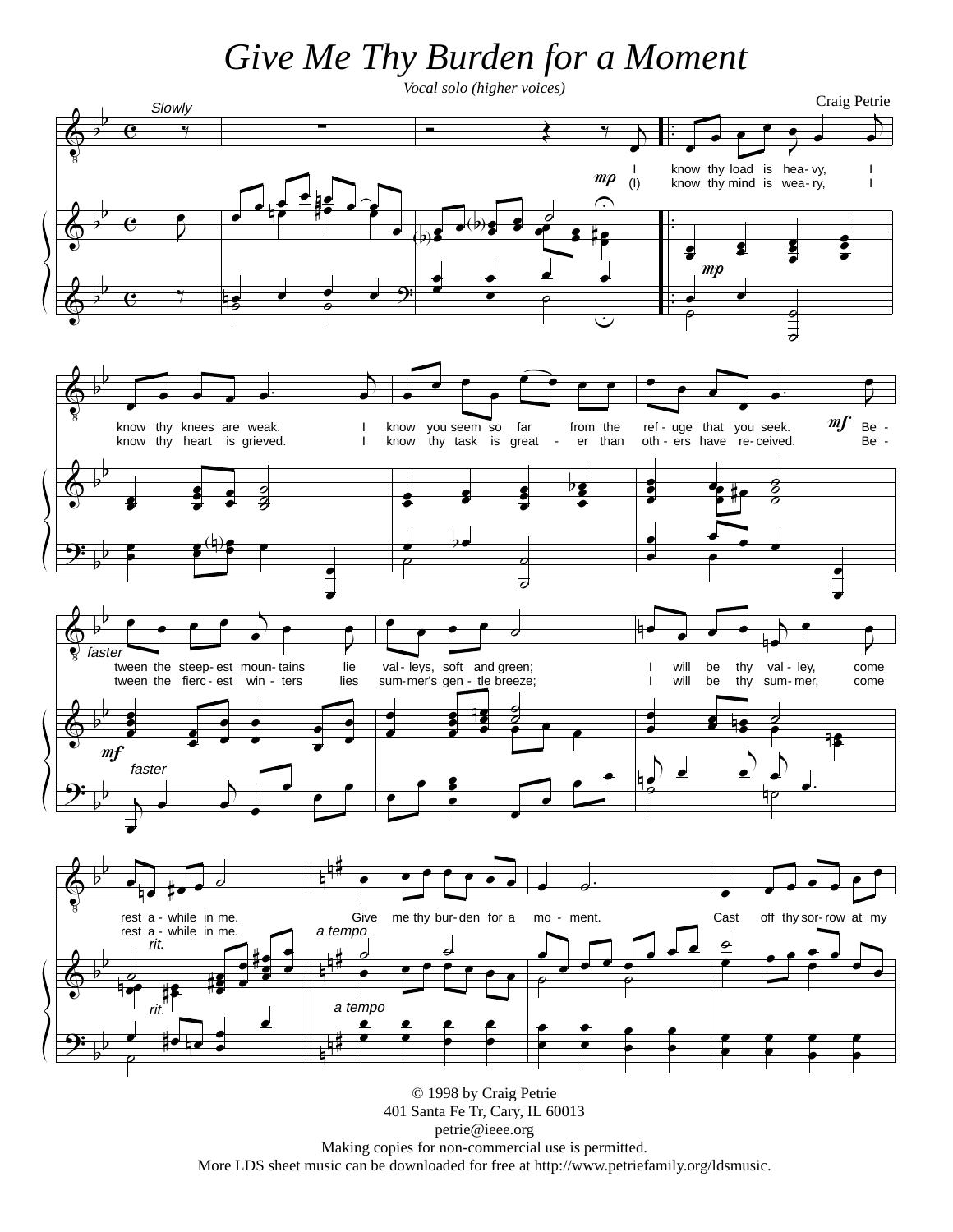## Give Me Thy Burden for a Moment



petrie@ieee.org Making copies for non-commercial use is permitted. More LDS sheet music can be downloaded for free at http://www.petriefamily.org/ldsmusic.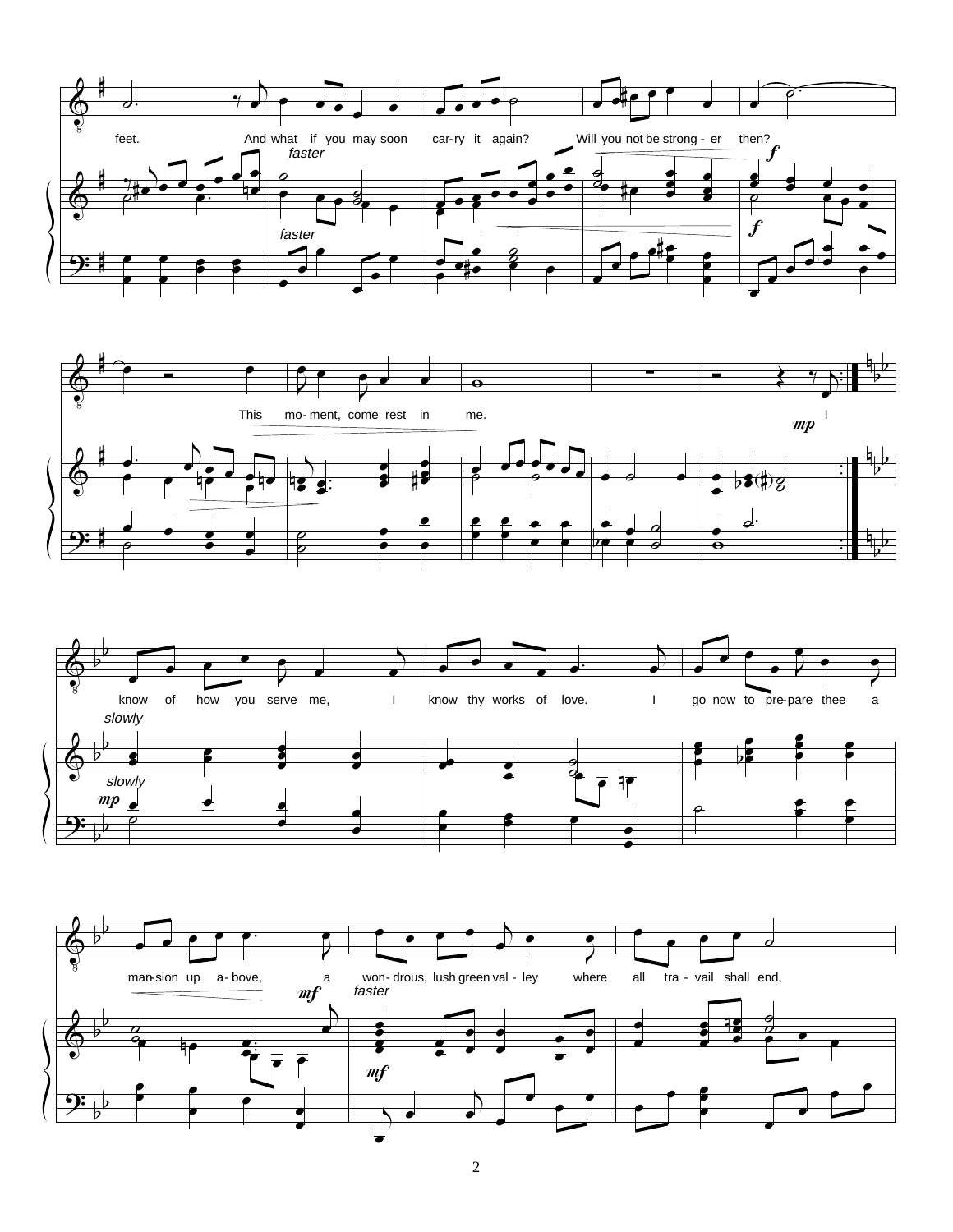